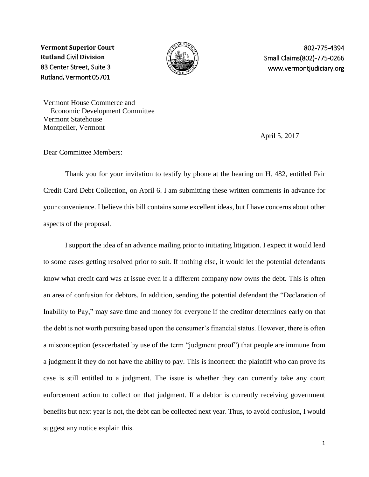**Vermont Superior Court Rutland** Civil **Division** 83 Center Street, Suite 3 Rutland**,** Vermont 05701



802-775-4394 Small Claims(802)-775-0266 www.vermontjudiciary.org

Vermont House Commerce and Economic Development Committee Vermont Statehouse Montpelier, Vermont

April 5, 2017

Dear Committee Members:

Thank you for your invitation to testify by phone at the hearing on H. 482, entitled Fair Credit Card Debt Collection, on April 6. I am submitting these written comments in advance for your convenience. I believe this bill contains some excellent ideas, but I have concerns about other aspects of the proposal.

I support the idea of an advance mailing prior to initiating litigation. I expect it would lead to some cases getting resolved prior to suit. If nothing else, it would let the potential defendants know what credit card was at issue even if a different company now owns the debt. This is often an area of confusion for debtors. In addition, sending the potential defendant the "Declaration of Inability to Pay," may save time and money for everyone if the creditor determines early on that the debt is not worth pursuing based upon the consumer's financial status. However, there is often a misconception (exacerbated by use of the term "judgment proof") that people are immune from a judgment if they do not have the ability to pay. This is incorrect: the plaintiff who can prove its case is still entitled to a judgment. The issue is whether they can currently take any court enforcement action to collect on that judgment. If a debtor is currently receiving government benefits but next year is not, the debt can be collected next year. Thus, to avoid confusion, I would suggest any notice explain this.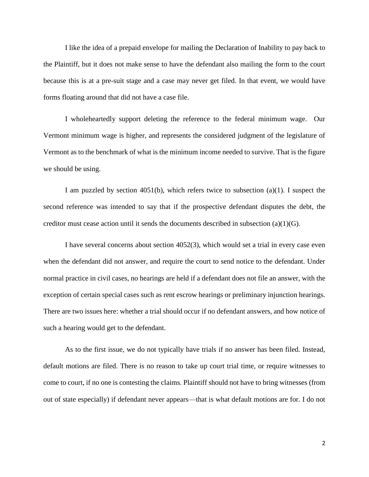I like the idea of a prepaid envelope for mailing the Declaration of Inability to pay back to the Plaintiff, but it does not make sense to have the defendant also mailing the form to the court because this is at a pre-suit stage and a case may never get filed. In that event, we would have forms floating around that did not have a case file.

I wholeheartedly support deleting the reference to the federal minimum wage. Our Vermont minimum wage is higher, and represents the considered judgment of the legislature of Vermont as to the benchmark of what is the minimum income needed to survive. That is the figure we should be using.

I am puzzled by section  $4051(b)$ , which refers twice to subsection  $(a)(1)$ . I suspect the second reference was intended to say that if the prospective defendant disputes the debt, the creditor must cease action until it sends the documents described in subsection (a)(1)(G).

I have several concerns about section 4052(3), which would set a trial in every case even when the defendant did not answer, and require the court to send notice to the defendant. Under normal practice in civil cases, no hearings are held if a defendant does not file an answer, with the exception of certain special cases such as rent escrow hearings or preliminary injunction hearings. There are two issues here: whether a trial should occur if no defendant answers, and how notice of such a hearing would get to the defendant.

As to the first issue, we do not typically have trials if no answer has been filed. Instead, default motions are filed. There is no reason to take up court trial time, or require witnesses to come to court, if no one is contesting the claims. Plaintiff should not have to bring witnesses (from out of state especially) if defendant never appears—that is what default motions are for. I do not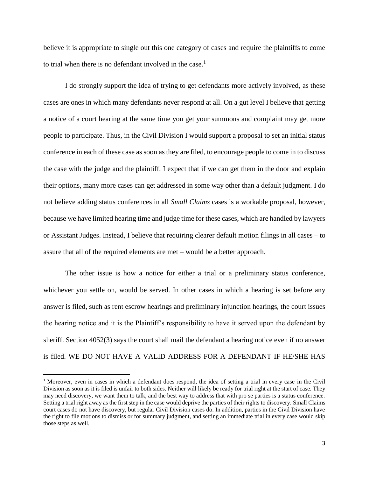believe it is appropriate to single out this one category of cases and require the plaintiffs to come to trial when there is no defendant involved in the case.<sup>1</sup>

I do strongly support the idea of trying to get defendants more actively involved, as these cases are ones in which many defendants never respond at all. On a gut level I believe that getting a notice of a court hearing at the same time you get your summons and complaint may get more people to participate. Thus, in the Civil Division I would support a proposal to set an initial status conference in each of these case as soon as they are filed, to encourage people to come in to discuss the case with the judge and the plaintiff. I expect that if we can get them in the door and explain their options, many more cases can get addressed in some way other than a default judgment. I do not believe adding status conferences in all *Small Claims* cases is a workable proposal, however, because we have limited hearing time and judge time for these cases, which are handled by lawyers or Assistant Judges. Instead, I believe that requiring clearer default motion filings in all cases – to assure that all of the required elements are met – would be a better approach.

The other issue is how a notice for either a trial or a preliminary status conference, whichever you settle on, would be served. In other cases in which a hearing is set before any answer is filed, such as rent escrow hearings and preliminary injunction hearings, the court issues the hearing notice and it is the Plaintiff's responsibility to have it served upon the defendant by sheriff. Section 4052(3) says the court shall mail the defendant a hearing notice even if no answer is filed. WE DO NOT HAVE A VALID ADDRESS FOR A DEFENDANT IF HE/SHE HAS

l

<sup>1</sup> Moreover, even in cases in which a defendant does respond, the idea of setting a trial in every case in the Civil Division as soon as it is filed is unfair to both sides. Neither will likely be ready for trial right at the start of case. They may need discovery, we want them to talk, and the best way to address that with pro se parties is a status conference. Setting a trial right away as the first step in the case would deprive the parties of their rights to discovery. Small Claims court cases do not have discovery, but regular Civil Division cases do. In addition, parties in the Civil Division have the right to file motions to dismiss or for summary judgment, and setting an immediate trial in every case would skip those steps as well.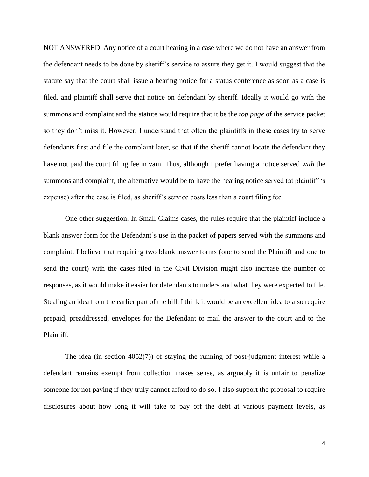NOT ANSWERED. Any notice of a court hearing in a case where we do not have an answer from the defendant needs to be done by sheriff's service to assure they get it. I would suggest that the statute say that the court shall issue a hearing notice for a status conference as soon as a case is filed, and plaintiff shall serve that notice on defendant by sheriff. Ideally it would go with the summons and complaint and the statute would require that it be the *top page* of the service packet so they don't miss it. However, I understand that often the plaintiffs in these cases try to serve defendants first and file the complaint later, so that if the sheriff cannot locate the defendant they have not paid the court filing fee in vain. Thus, although I prefer having a notice served *with* the summons and complaint, the alternative would be to have the hearing notice served (at plaintiff 's expense) after the case is filed, as sheriff's service costs less than a court filing fee.

One other suggestion. In Small Claims cases, the rules require that the plaintiff include a blank answer form for the Defendant's use in the packet of papers served with the summons and complaint. I believe that requiring two blank answer forms (one to send the Plaintiff and one to send the court) with the cases filed in the Civil Division might also increase the number of responses, as it would make it easier for defendants to understand what they were expected to file. Stealing an idea from the earlier part of the bill, I think it would be an excellent idea to also require prepaid, preaddressed, envelopes for the Defendant to mail the answer to the court and to the Plaintiff.

The idea (in section 4052(7)) of staying the running of post-judgment interest while a defendant remains exempt from collection makes sense, as arguably it is unfair to penalize someone for not paying if they truly cannot afford to do so. I also support the proposal to require disclosures about how long it will take to pay off the debt at various payment levels, as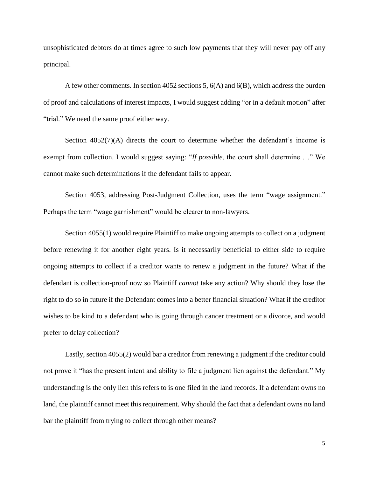unsophisticated debtors do at times agree to such low payments that they will never pay off any principal.

A few other comments. In section 4052 sections 5, 6(A) and 6(B), which address the burden of proof and calculations of interest impacts, I would suggest adding "or in a default motion" after "trial." We need the same proof either way.

Section  $4052(7)(A)$  directs the court to determine whether the defendant's income is exempt from collection. I would suggest saying: "*If possible*, the court shall determine …" We cannot make such determinations if the defendant fails to appear.

Section 4053, addressing Post-Judgment Collection, uses the term "wage assignment." Perhaps the term "wage garnishment" would be clearer to non-lawyers.

Section 4055(1) would require Plaintiff to make ongoing attempts to collect on a judgment before renewing it for another eight years. Is it necessarily beneficial to either side to require ongoing attempts to collect if a creditor wants to renew a judgment in the future? What if the defendant is collection-proof now so Plaintiff *cannot* take any action? Why should they lose the right to do so in future if the Defendant comes into a better financial situation? What if the creditor wishes to be kind to a defendant who is going through cancer treatment or a divorce, and would prefer to delay collection?

Lastly, section 4055(2) would bar a creditor from renewing a judgment if the creditor could not prove it "has the present intent and ability to file a judgment lien against the defendant." My understanding is the only lien this refers to is one filed in the land records. If a defendant owns no land, the plaintiff cannot meet this requirement. Why should the fact that a defendant owns no land bar the plaintiff from trying to collect through other means?